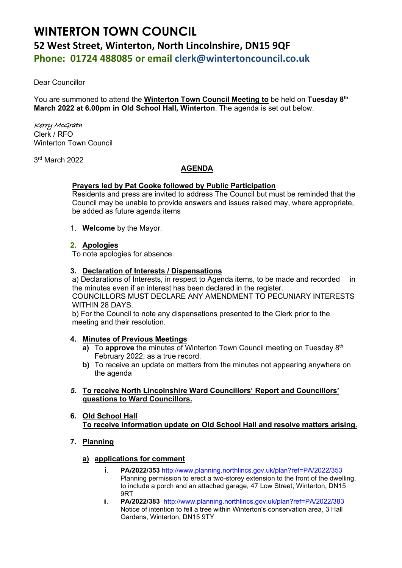# **WINTERTON TOWN COUNCIL 52 West Street, Winterton, North Lincolnshire, DN15 9QF Phone: 01724 488085 or email clerk@wintertoncouncil.co.uk**

Dear Councillor

You are summoned to attend the **Winterton Town Council Meeting to** be held on **Tuesday 8 th March 2022 at 6.00pm in Old School Hall, Winterton**. The agenda is set out below.

## Kerry McGrath

Clerk / RFO Winterton Town Council

3 rd March 2022

# **AGENDA**

## **Prayers led by Pat Cooke followed by Public Participation**

Residents and press are invited to address The Council but must be reminded that the Council may be unable to provide answers and issues raised may, where appropriate, be added as future agenda items

1. **Welcome** by the Mayor.

## **2. Apologies**

To note apologies for absence.

## **3. Declaration of Interests / Dispensations**

a) Declarations of Interests, in respect to Agenda items, to be made and recorded in the minutes even if an interest has been declared in the register. COUNCILLORS MUST DECLARE ANY AMENDMENT TO PECUNIARY INTERESTS WITHIN 28 DAYS.

b) For the Council to note any dispensations presented to the Clerk prior to the meeting and their resolution.

#### **4. Minutes of Previous Meetings**

- **a)** To approve the minutes of Winterton Town Council meeting on Tuesday 8<sup>th</sup> February 2022, as a true record.
- **b)** To receive an update on matters from the minutes not appearing anywhere on the agenda
- *5.* **To receive North Lincolnshire Ward Councillors' Report and Councillors' questions to Ward Councillors.**
- **6. Old School Hall To receive information update on Old School Hall and resolve matters arising.**
- **7. Planning**
	- **a) applications for comment**
		- i. **PA/2022/353** <http://www.planning.northlincs.gov.uk/plan?ref=PA/2022/353> Planning permission to erect a two-storey extension to the front of the dwelling, to include a porch and an attached garage, 47 Low Street, Winterton, DN15 9RT
		- ii. **PA/2022/383** <http://www.planning.northlincs.gov.uk/plan?ref=PA/2022/383> Notice of intention to fell a tree within Winterton's conservation area, 3 Hall Gardens, Winterton, DN15 9TY